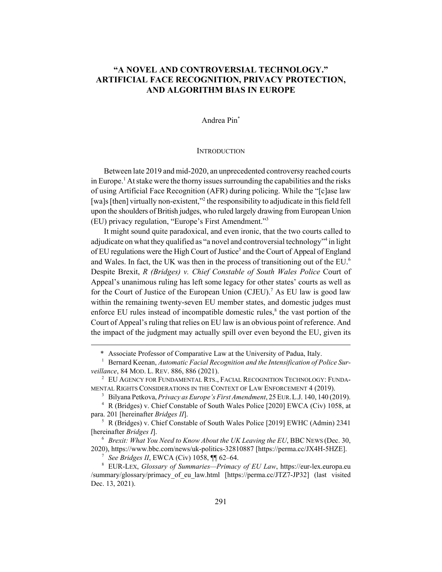# **"A NOVEL AND CONTROVERSIAL TECHNOLOGY." ARTIFICIAL FACE RECOGNITION, PRIVACY PROTECTION, AND ALGORITHM BIAS IN EUROPE**

## Andrea Pin\*

### **INTRODUCTION**

Between late 2019 and mid-2020, an unprecedented controversy reached courts in Europe.<sup>1</sup> At stake were the thorny issues surrounding the capabilities and the risks of using Artificial Face Recognition (AFR) during policing. While the "[c]ase law [wa]s [then] virtually non-existent,"<sup>2</sup> the responsibility to adjudicate in this field fell upon the shoulders of British judges, who ruled largely drawing from European Union (EU) privacy regulation, "Europe's First Amendment."3

It might sound quite paradoxical, and even ironic, that the two courts called to adjudicate on what they qualified as "a novel and controversial technology"<sup>4</sup> in light of EU regulations were the High Court of Justice<sup>5</sup> and the Court of Appeal of England and Wales. In fact, the UK was then in the process of transitioning out of the EU.<sup>6</sup> Despite Brexit, *R (Bridges) v. Chief Constable of South Wales Police* Court of Appeal's unanimous ruling has left some legacy for other states' courts as well as for the Court of Justice of the European Union (CJEU).<sup>7</sup> As EU law is good law within the remaining twenty-seven EU member states, and domestic judges must enforce EU rules instead of incompatible domestic rules,<sup>8</sup> the vast portion of the Court of Appeal's ruling that relies on EU law is an obvious point of reference. And the impact of the judgment may actually spill over even beyond the EU, given its

<sup>5</sup> R (Bridges) v. Chief Constable of South Wales Police [2019] EWHC (Admin) 2341 [hereinafter *Bridges I*].

<sup>6</sup> *Brexit: What You Need to Know About the UK Leaving the EU*, BBC NEWS (Dec. 30, 2020), https://www.bbc.com/news/uk-politics-32810887 [https://perma.cc/JX4H-5HZE].

 $\frac{7}{1}$  See Bridges II, EWCA (Civ) 1058,  $\P$  62–64.

<sup>8</sup> EUR-LEX, *Glossary of Summaries—Primacy of EU Law*, https://eur-lex.europa.eu /summary/glossary/primacy\_of\_eu\_law.html [https://perma.cc/JTZ7-JP32] (last visited Dec. 13, 2021).

<sup>\*</sup> Associate Professor of Comparative Law at the University of Padua, Italy.

<sup>&</sup>lt;sup>1</sup> Bernard Keenan, *Automatic Facial Recognition and the Intensification of Police Surveillance*, 84 MOD. L. REV. 886, 886 (2021).

<sup>2</sup> EU AGENCY FOR FUNDAMENTAL RTS., FACIAL RECOGNITION TECHNOLOGY: FUNDA-MENTAL RIGHTS CONSIDERATIONS IN THE CONTEXT OF LAW ENFORCEMENT 4 (2019).

<sup>3</sup> Bilyana Petkova, *Privacy as Europe's First Amendment*, 25 EUR.L.J. 140, 140 (2019).

<sup>4</sup> R (Bridges) v. Chief Constable of South Wales Police [2020] EWCA (Civ) 1058, at para. 201 [hereinafter *Bridges II*].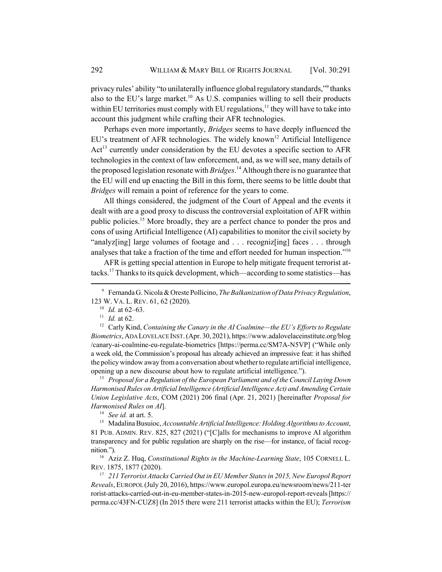privacy rules' ability "to unilaterally influence global regulatory standards," thanks also to the EU's large market.<sup>10</sup> As U.S. companies willing to sell their products within EU territories must comply with EU regulations,  $11$  they will have to take into account this judgment while crafting their AFR technologies.

Perhaps even more importantly, *Bridges* seems to have deeply influenced the EU's treatment of AFR technologies. The widely known<sup>12</sup> Artificial Intelligence Act<sup>13</sup> currently under consideration by the EU devotes a specific section to AFR technologies in the context of law enforcement, and, as we will see, many details of the proposed legislation resonate with *Bridges*. 14 Although there is no guarantee that the EU will end up enacting the Bill in this form, there seems to be little doubt that *Bridges* will remain a point of reference for the years to come.

All things considered, the judgment of the Court of Appeal and the events it dealt with are a good proxy to discuss the controversial exploitation of AFR within public policies.<sup>15</sup> More broadly, they are a perfect chance to ponder the pros and cons of using Artificial Intelligence (AI) capabilities to monitor the civil society by "analyz[ing] large volumes of footage and . . . recogniz[ing] faces . . . through analyses that take a fraction of the time and effort needed for human inspection."16

AFR is getting special attention in Europe to help mitigate frequent terrorist attacks.17 Thanks to its quick development, which—according to some statistics—has

<sup>13</sup> *Proposal for a Regulation of the European Parliament and of the Council Laying Down Harmonised Rules on Artificial Intelligence (Artificial Intelligence Act) and Amending Certain Union Legislative Acts*, COM (2021) 206 final (Apr. 21, 2021) [hereinafter *Proposal for Harmonised Rules on AI*].

<sup>14</sup> *See id.* at art. 5.

<sup>15</sup> Madalina Busuioc, *Accountable Artificial Intelligence: Holding Algorithms to Account*, 81 PUB. ADMIN. REV. 825, 827 (2021) ("[C]alls for mechanisms to improve AI algorithm transparency and for public regulation are sharply on the rise—for instance, of facial recognition.").

<sup>16</sup> Aziz Z. Huq, *Constitutional Rights in the Machine-Learning State*, 105 CORNELL L. REV. 1875, 1877 (2020).

<sup>17</sup> *211 Terrorist Attacks Carried Out in EU Member States in 2015, New Europol Report Reveals*, EUROPOL (July 20, 2016), https://www.europol.europa.eu/newsroom/news/211-ter rorist-attacks-carried-out-in-eu-member-states-in-2015-new-europol-report-reveals [https:// perma.cc/43FN-CUZ8] (In 2015 there were 211 terrorist attacks within the EU); *Terrorism*

<sup>9</sup> Fernanda G. Nicola & Oreste Pollicino, *The Balkanization of Data Privacy Regulation*, 123 W. VA. L. REV. 61, 62 (2020).

<sup>10</sup> *Id.* at 62–63.

<sup>11</sup> *Id.* at 62.

<sup>12</sup> Carly Kind, *Containing the Canary in the AI Coalmine—the EU's Efforts to Regulate Biometrics*, ADA LOVELACE INST. (Apr. 30, 2021), https://www.adalovelaceinstitute.org/blog /canary-ai-coalmine-eu-regulate-biometrics [https://perma.cc/SM7A-N5VP] ("While only a week old, the Commission's proposal has already achieved an impressive feat: it has shifted the policy window away from a conversation about whether to regulate artificial intelligence, opening up a new discourse about how to regulate artificial intelligence.").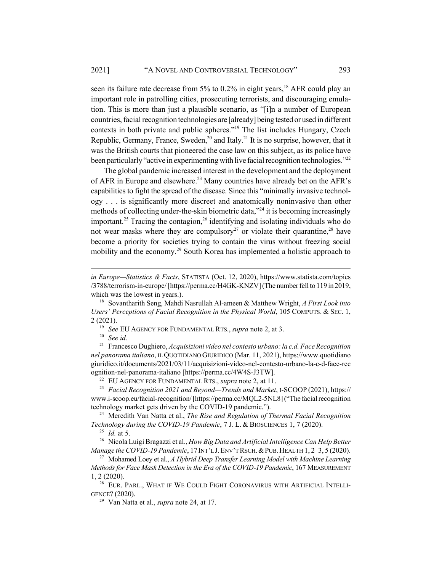seen its failure rate decrease from  $5\%$  to 0.2% in eight years,<sup>18</sup> AFR could play an important role in patrolling cities, prosecuting terrorists, and discouraging emulation. This is more than just a plausible scenario, as "[i]n a number of European countries, facial recognition technologies are [already] being tested or used in different contexts in both private and public spheres."<sup>19</sup> The list includes Hungary, Czech Republic, Germany, France, Sweden, $^{20}$  and Italy.<sup>21</sup> It is no surprise, however, that it was the British courts that pioneered the case law on this subject, as its police have been particularly "active in experimenting with live facial recognition technologies."<sup>22</sup>

The global pandemic increased interest in the development and the deployment of AFR in Europe and elsewhere.<sup>23</sup> Many countries have already bet on the AFR's capabilities to fight the spread of the disease. Since this "minimally invasive technology . . . is significantly more discreet and anatomically noninvasive than other methods of collecting under-the-skin biometric data,<sup>324</sup> it is becoming increasingly important.<sup>25</sup> Tracing the contagion,<sup>26</sup> identifying and isolating individuals who do not wear masks where they are compulsory<sup>27</sup> or violate their quarantine,<sup>28</sup> have become a priority for societies trying to contain the virus without freezing social mobility and the economy.<sup>29</sup> South Korea has implemented a holistic approach to

*in Europe—Statistics & Facts*, STATISTA (Oct. 12, 2020), https://www.statista.com/topics /3788/terrorism-in-europe/ [https://perma.cc/H4GK-KNZV] (The number fell to 119 in 2019, which was the lowest in years.).

<sup>18</sup> Sovantharith Seng, Mahdi Nasrullah Al-ameen & Matthew Wright, *A First Look into Users' Perceptions of Facial Recognition in the Physical World*, 105 COMPUTS. & SEC. 1, 2 (2021).

<sup>19</sup> *See* EU AGENCY FOR FUNDAMENTAL RTS., *supra* note 2, at 3.

<sup>20</sup> *See id.*

<sup>21</sup> Francesco Dughiero, *Acquisizioni video nel contesto urbano: la c.d. Face Recognition nel panorama italiano*, IL QUOTIDIANO GIURIDICO (Mar. 11, 2021), https://www.quotidiano giuridico.it/documents/2021/03/11/acquisizioni-video-nel-contesto-urbano-la-c-d-face-rec ognition-nel-panorama-italiano [https://perma.cc/4W4S-J3TW].

<sup>22</sup> EU AGENCY FOR FUNDAMENTAL RTS., *supra* note 2, at 11.

<sup>&</sup>lt;sup>23</sup> Facial Recognition 2021 and Beyond—Trends and Market, I-SCOOP (2021), https:// www.i-scoop.eu/facial-recognition/ [https://perma.cc/MQL2-5NL8] ("The facial recognition technology market gets driven by the COVID-19 pandemic.").

<sup>24</sup> Meredith Van Natta et al., *The Rise and Regulation of Thermal Facial Recognition Technology during the COVID-19 Pandemic*, 7 J. L. & BIOSCIENCES 1, 7 (2020).

<sup>25</sup> *Id.* at 5.

<sup>26</sup> Nicola Luigi Bragazzi et al., *How Big Data and Artificial Intelligence Can Help Better Manage the COVID-19 Pandemic*, 17INT'L J.ENV'T RSCH.&PUB.HEALTH 1, 2–3, 5 (2020).

<sup>27</sup> Mohamed Loey et al., *A Hybrid Deep Transfer Learning Model with Machine Learning Methods for Face Mask Detection in the Era of the COVID-19 Pandemic*, 167 MEASUREMENT 1, 2 (2020).

<sup>&</sup>lt;sup>28</sup> EUR. PARL., WHAT IF WE COULD FIGHT CORONAVIRUS WITH ARTIFICIAL INTELLI-GENCE? (2020).

<sup>29</sup> Van Natta et al., *supra* note 24, at 17.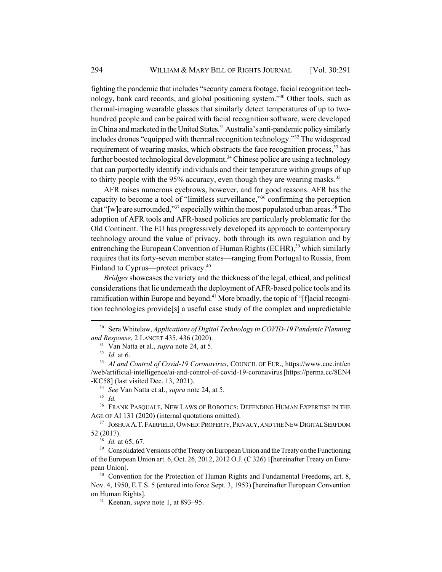fighting the pandemic that includes "security camera footage, facial recognition technology, bank card records, and global positioning system."30 Other tools, such as thermal-imaging wearable glasses that similarly detect temperatures of up to twohundred people and can be paired with facial recognition software, were developed in China and marketed in the United States.<sup>31</sup> Australia's anti-pandemic policy similarly includes drones "equipped with thermal recognition technology."32 The widespread requirement of wearing masks, which obstructs the face recognition process,<sup>33</sup> has further boosted technological development.<sup>34</sup> Chinese police are using a technology that can purportedly identify individuals and their temperature within groups of up to thirty people with the  $95\%$  accuracy, even though they are wearing masks.<sup>35</sup>

AFR raises numerous eyebrows, however, and for good reasons. AFR has the capacity to become a tool of "limitless surveillance,"36 confirming the perception that "[w]e are surrounded,"<sup>37</sup> especially within the most populated urban areas.<sup>38</sup> The adoption of AFR tools and AFR-based policies are particularly problematic for the Old Continent. The EU has progressively developed its approach to contemporary technology around the value of privacy, both through its own regulation and by entrenching the European Convention of Human Rights (ECHR),<sup>39</sup> which similarly requires that its forty-seven member states—ranging from Portugal to Russia, from Finland to Cyprus—protect privacy.<sup>40</sup>

*Bridges* showcases the variety and the thickness of the legal, ethical, and political considerations that lie underneath the deployment of AFR-based police tools and its ramification within Europe and beyond.<sup>41</sup> More broadly, the topic of "[f]acial recognition technologies provide[s] a useful case study of the complex and unpredictable

<sup>34</sup> *See* Van Natta et al., *supra* note 24, at 5.

<sup>38</sup> *Id.* at 65, 67.

<sup>30</sup> Sera Whitelaw, *Applications of Digital Technology in COVID-19 Pandemic Planning and Response*, 2 LANCET 435, 436 (2020).

<sup>31</sup> Van Natta et al., *supra* note 24, at 5.

<sup>32</sup> *Id.* at 6.

<sup>33</sup> *AI and Control of Covid-19 Coronavirus*, COUNCIL OF EUR., https://www.coe.int/en /web/artificial-intelligence/ai-and-control-of-covid-19-coronavirus [https://perma.cc/8EN4 -KC58] (last visited Dec. 13, 2021).

<sup>35</sup> *Id.*

<sup>&</sup>lt;sup>36</sup> FRANK PASQUALE, NEW LAWS OF ROBOTICS: DEFENDING HUMAN EXPERTISE IN THE AGE OF AI 131 (2020) (internal quotations omitted).

<sup>&</sup>lt;sup>37</sup> JOSHUA A.T. FAIRFIELD, OWNED: PROPERTY, PRIVACY, AND THE NEW DIGITAL SERFDOM 52 (2017).

<sup>&</sup>lt;sup>39</sup> Consolidated Versions of the Treaty on European Union and the Treaty on the Functioning of the European Union art. 6, Oct. 26, 2012, 2012 O.J. (C 326) 1[hereinafter Treaty on European Union].

<sup>&</sup>lt;sup>40</sup> Convention for the Protection of Human Rights and Fundamental Freedoms, art. 8, Nov. 4, 1950, E.T.S. 5 (entered into force Sept. 3, 1953) [hereinafter European Convention on Human Rights].

<sup>41</sup> Keenan, *supra* note 1, at 893–95.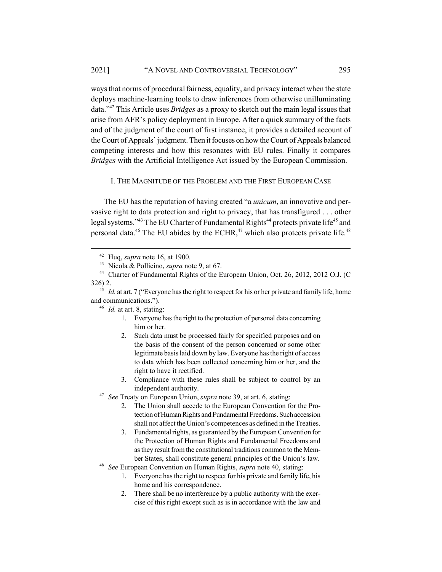ways that norms of procedural fairness, equality, and privacy interact when the state deploys machine-learning tools to draw inferences from otherwise unilluminating data."42 This Article uses *Bridges* as a proxy to sketch out the main legal issues that arise from AFR's policy deployment in Europe. After a quick summary of the facts and of the judgment of the court of first instance, it provides a detailed account of the Court of Appeals' judgment. Then it focuses on how the Court of Appeals balanced competing interests and how this resonates with EU rules. Finally it compares *Bridges* with the Artificial Intelligence Act issued by the European Commission.

## I. THE MAGNITUDE OF THE PROBLEM AND THE FIRST EUROPEAN CASE

The EU has the reputation of having created "a *unicum*, an innovative and pervasive right to data protection and right to privacy, that has transfigured . . . other legal systems."<sup>43</sup> The EU Charter of Fundamental Rights<sup>44</sup> protects private life<sup>45</sup> and personal data.<sup>46</sup> The EU abides by the ECHR,<sup>47</sup> which also protects private life.<sup>48</sup>

- 1. Everyone has the right to the protection of personal data concerning him or her.
- 2. Such data must be processed fairly for specified purposes and on the basis of the consent of the person concerned or some other legitimate basis laid down by law. Everyone has the right of access to data which has been collected concerning him or her, and the right to have it rectified.
- 3. Compliance with these rules shall be subject to control by an independent authority.
- <sup>47</sup> *See* Treaty on European Union, *supra* note 39, at art. 6, stating:
	- 2. The Union shall accede to the European Convention for the Protection of Human Rights and Fundamental Freedoms. Such accession shall not affect the Union's competences as defined in the Treaties.
	- 3. Fundamental rights, as guaranteed by the European Convention for the Protection of Human Rights and Fundamental Freedoms and as they result from the constitutional traditions common to the Member States, shall constitute general principles of the Union's law.
- <sup>48</sup> *See* European Convention on Human Rights, *supra* note 40, stating:
	- 1. Everyone has the right to respect for his private and family life, his home and his correspondence.
	- 2. There shall be no interference by a public authority with the exercise of this right except such as is in accordance with the law and

<sup>42</sup> Huq, *supra* note 16, at 1900.

<sup>43</sup> Nicola & Pollicino, *supra* note 9, at 67.

<sup>44</sup> Charter of Fundamental Rights of the European Union, Oct. 26, 2012, 2012 O.J. (C 326) 2.

<sup>&</sup>lt;sup>45</sup> *Id.* at art. 7 ("Everyone has the right to respect for his or her private and family life, home and communications.").

<sup>46</sup> *Id.* at art. 8, stating: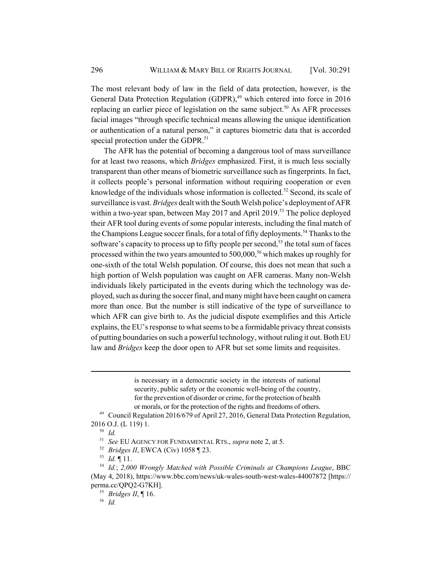The most relevant body of law in the field of data protection, however, is the General Data Protection Regulation (GDPR),<sup>49</sup> which entered into force in 2016 replacing an earlier piece of legislation on the same subject.<sup>50</sup> As AFR processes facial images "through specific technical means allowing the unique identification or authentication of a natural person," it captures biometric data that is accorded special protection under the GDPR.<sup>51</sup>

The AFR has the potential of becoming a dangerous tool of mass surveillance for at least two reasons, which *Bridges* emphasized. First, it is much less socially transparent than other means of biometric surveillance such as fingerprints. In fact, it collects people's personal information without requiring cooperation or even knowledge of the individuals whose information is collected.<sup>52</sup> Second, its scale of surveillance is vast. *Bridges* dealt with the South Welsh police's deployment of AFR within a two-year span, between May 2017 and April 2019.<sup>53</sup> The police deployed their AFR tool during events of some popular interests, including the final match of the Champions League soccer finals, for a total of fifty deployments.<sup>54</sup> Thanks to the software's capacity to process up to fifty people per second,<sup>55</sup> the total sum of faces processed within the two years amounted to  $500,000$ ,<sup>56</sup> which makes up roughly for one-sixth of the total Welsh population. Of course, this does not mean that such a high portion of Welsh population was caught on AFR cameras. Many non-Welsh individuals likely participated in the events during which the technology was deployed, such as during the soccer final, and many might have been caught on camera more than once. But the number is still indicative of the type of surveillance to which AFR can give birth to. As the judicial dispute exemplifies and this Article explains, the EU's response to what seems to be a formidable privacy threat consists of putting boundaries on such a powerful technology, without ruling it out. Both EU law and *Bridges* keep the door open to AFR but set some limits and requisites.

> is necessary in a democratic society in the interests of national security, public safety or the economic well-being of the country, for the prevention of disorder or crime, for the protection of health or morals, or for the protection of the rights and freedoms of others.

<sup>53</sup> *Id.* ¶ 11.

<sup>&</sup>lt;sup>49</sup> Council Regulation 2016/679 of April 27, 2016, General Data Protection Regulation, 2016 O.J. (L 119) 1.

<sup>50</sup> *Id.*

<sup>51</sup> *See* EU AGENCY FOR FUNDAMENTAL RTS., *supra* note 2, at 5.

<sup>52</sup> *Bridges II*, EWCA (Civ) 1058 ¶ 23.

<sup>54</sup> *Id.*; *2,000 Wrongly Matched with Possible Criminals at Champions League*, BBC (May 4, 2018), https://www.bbc.com/news/uk-wales-south-west-wales-44007872 [https:// perma.cc/QPQ2-G7KH].

<sup>55</sup> *Bridges II*, ¶ 16.

<sup>56</sup> *Id.*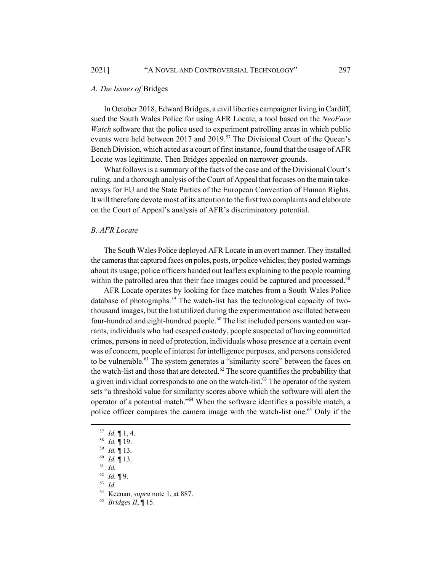#### *A. The Issues of* Bridges

In October 2018, Edward Bridges, a civil liberties campaigner living in Cardiff, sued the South Wales Police for using AFR Locate, a tool based on the *NeoFace Watch* software that the police used to experiment patrolling areas in which public events were held between 2017 and 2019.<sup>57</sup> The Divisional Court of the Oueen's Bench Division, which acted as a court of first instance, found that the usage of AFR Locate was legitimate. Then Bridges appealed on narrower grounds.

What follows is a summary of the facts of the case and of the Divisional Court's ruling, and a thorough analysis of the Court of Appeal that focuses on the main takeaways for EU and the State Parties of the European Convention of Human Rights. It will therefore devote most of its attention to the first two complaints and elaborate on the Court of Appeal's analysis of AFR's discriminatory potential.

## *B. AFR Locate*

The South Wales Police deployed AFR Locate in an overt manner. They installed the cameras that captured faces on poles, posts, or police vehicles; they posted warnings about its usage; police officers handed out leaflets explaining to the people roaming within the patrolled area that their face images could be captured and processed.<sup>58</sup>

AFR Locate operates by looking for face matches from a South Wales Police database of photographs.<sup>59</sup> The watch-list has the technological capacity of twothousand images, but the list utilized during the experimentation oscillated between four-hundred and eight-hundred people.<sup>60</sup> The list included persons wanted on warrants, individuals who had escaped custody, people suspected of having committed crimes, persons in need of protection, individuals whose presence at a certain event was of concern, people of interest for intelligence purposes, and persons considered to be vulnerable.<sup>61</sup> The system generates a "similarity score" between the faces on the watch-list and those that are detected.<sup>62</sup> The score quantifies the probability that a given individual corresponds to one on the watch-list.<sup>63</sup> The operator of the system sets "a threshold value for similarity scores above which the software will alert the operator of a potential match."64 When the software identifies a possible match, a police officer compares the camera image with the watch-list one.<sup>65</sup> Only if the

- <sup>57</sup> *Id.* ¶ 1, 4.
- <sup>58</sup> *Id.* ¶ 19.
- <sup>59</sup> *Id.* ¶ 13.
- <sup>60</sup> *Id.* ¶ 13.
- <sup>61</sup> *Id.*
- <sup>62</sup> *Id.* ¶ 9.
- <sup>63</sup> *Id.*
- <sup>64</sup> Keenan, *supra* note 1, at 887.
- <sup>65</sup> *Bridges II*, ¶ 15.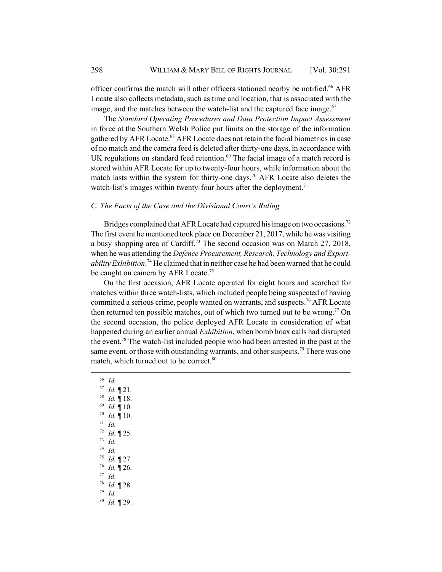officer confirms the match will other officers stationed nearby be notified.<sup>66</sup> AFR Locate also collects metadata, such as time and location, that is associated with the image, and the matches between the watch-list and the captured face image.<sup>67</sup>

The *Standard Operating Procedures and Data Protection Impact Assessment* in force at the Southern Welsh Police put limits on the storage of the information gathered by AFR Locate.<sup>68</sup> AFR Locate does not retain the facial biometrics in case of no match and the camera feed is deleted after thirty-one days, in accordance with UK regulations on standard feed retention. $69$  The facial image of a match record is stored within AFR Locate for up to twenty-four hours, while information about the match lasts within the system for thirty-one days.<sup>70</sup> AFR Locate also deletes the watch-list's images within twenty-four hours after the deployment.<sup>71</sup>

## *C. The Facts of the Case and the Divisional Court's Ruling*

Bridges complained that AFR Locate had captured his image on two occasions.<sup>72</sup> The first event he mentioned took place on December 21, 2017, while he was visiting a busy shopping area of Cardiff.<sup>73</sup> The second occasion was on March 27, 2018, when he was attending the *Defence Procurement, Research, Technology and Exportability Exhibition*. 74 He claimed that in neither case he had been warned that he could be caught on camera by AFR Locate.<sup>75</sup>

On the first occasion, AFR Locate operated for eight hours and searched for matches within three watch-lists, which included people being suspected of having committed a serious crime, people wanted on warrants, and suspects.<sup>76</sup> AFR Locate then returned ten possible matches, out of which two turned out to be wrong.<sup>77</sup> On the second occasion, the police deployed AFR Locate in consideration of what happened during an earlier annual *Exhibition*, when bomb hoax calls had disrupted the event.<sup>78</sup> The watch-list included people who had been arrested in the past at the same event, or those with outstanding warrants, and other suspects.<sup>79</sup> There was one match, which turned out to be correct.<sup>80</sup>

<sup>66</sup> *Id.* <sup>67</sup> *Id.* ¶ 21. <sup>68</sup> *Id.* ¶ 18. <sup>69</sup> *Id.* ¶ 10. <sup>70</sup> *Id.* ¶ 10. <sup>71</sup> *Id.* <sup>72</sup> *Id.* ¶ 25. <sup>73</sup> *Id.* <sup>74</sup> *Id.* <sup>75</sup> *Id.* ¶ 27. <sup>76</sup> *Id.* ¶ 26. <sup>77</sup> *Id.* <sup>78</sup> *Id.* ¶ 28. <sup>79</sup> *Id.* <sup>80</sup> *Id.* ¶ 29.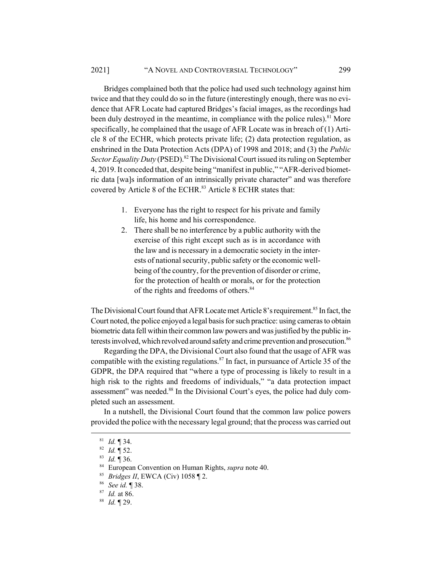Bridges complained both that the police had used such technology against him twice and that they could do so in the future (interestingly enough, there was no evidence that AFR Locate had captured Bridges's facial images, as the recordings had been duly destroyed in the meantime, in compliance with the police rules).<sup>81</sup> More specifically, he complained that the usage of AFR Locate was in breach of (1) Article 8 of the ECHR, which protects private life; (2) data protection regulation, as enshrined in the Data Protection Acts (DPA) of 1998 and 2018; and (3) the *Public Sector Equality Duty* (PSED).<sup>82</sup> The Divisional Court issued its ruling on September 4, 2019. It conceded that, despite being "manifest in public," "AFR-derived biometric data [wa]s information of an intrinsically private character" and was therefore covered by Article 8 of the ECHR.<sup>83</sup> Article 8 ECHR states that:

- 1. Everyone has the right to respect for his private and family life, his home and his correspondence.
- 2. There shall be no interference by a public authority with the exercise of this right except such as is in accordance with the law and is necessary in a democratic society in the interests of national security, public safety or the economic wellbeing of the country, for the prevention of disorder or crime, for the protection of health or morals, or for the protection of the rights and freedoms of others.<sup>84</sup>

The Divisional Court found that AFR Locate met Article 8's requirement.<sup>85</sup> In fact, the Court noted, the police enjoyed a legal basis for such practice: using cameras to obtain biometric data fell within their common law powers and was justified by the public interests involved, which revolved around safety and crime prevention and prosecution.<sup>86</sup>

Regarding the DPA, the Divisional Court also found that the usage of AFR was compatible with the existing regulations.<sup>87</sup> In fact, in pursuance of Article 35 of the GDPR, the DPA required that "where a type of processing is likely to result in a high risk to the rights and freedoms of individuals," "a data protection impact assessment" was needed.<sup>88</sup> In the Divisional Court's eyes, the police had duly completed such an assessment.

In a nutshell, the Divisional Court found that the common law police powers provided the police with the necessary legal ground; that the process was carried out

<sup>84</sup> European Convention on Human Rights, *supra* note 40.

<sup>81</sup> *Id.* ¶ 34.

<sup>82</sup> *Id.* ¶ 52.

<sup>83</sup> *Id.* ¶ 36.

<sup>85</sup> *Bridges II*, EWCA (Civ) 1058 ¶ 2.

<sup>86</sup> *See id.* ¶ 38.

<sup>87</sup> *Id.* at 86.

<sup>88</sup> *Id.* ¶ 29.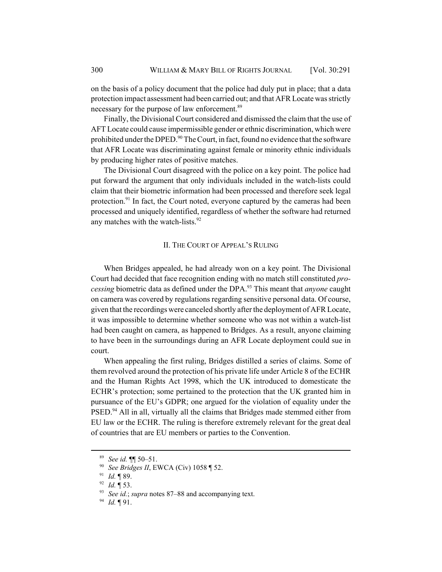on the basis of a policy document that the police had duly put in place; that a data protection impact assessment had been carried out; and that AFR Locate was strictly necessary for the purpose of law enforcement.<sup>89</sup>

Finally, the Divisional Court considered and dismissed the claim that the use of AFT Locate could cause impermissible gender or ethnic discrimination, which were prohibited under the DPED.<sup>90</sup> The Court, in fact, found no evidence that the software that AFR Locate was discriminating against female or minority ethnic individuals by producing higher rates of positive matches.

The Divisional Court disagreed with the police on a key point. The police had put forward the argument that only individuals included in the watch-lists could claim that their biometric information had been processed and therefore seek legal protection.<sup>91</sup> In fact, the Court noted, everyone captured by the cameras had been processed and uniquely identified, regardless of whether the software had returned any matches with the watch-lists.<sup>92</sup>

#### II. THE COURT OF APPEAL'S RULING

When Bridges appealed, he had already won on a key point. The Divisional Court had decided that face recognition ending with no match still constituted *processing* biometric data as defined under the DPA.93 This meant that *anyone* caught on camera was covered by regulations regarding sensitive personal data. Of course, given that the recordings were canceled shortly after the deployment of AFR Locate, it was impossible to determine whether someone who was not within a watch-list had been caught on camera, as happened to Bridges. As a result, anyone claiming to have been in the surroundings during an AFR Locate deployment could sue in court.

When appealing the first ruling, Bridges distilled a series of claims. Some of them revolved around the protection of his private life under Article 8 of the ECHR and the Human Rights Act 1998, which the UK introduced to domesticate the ECHR's protection; some pertained to the protection that the UK granted him in pursuance of the EU's GDPR; one argued for the violation of equality under the PSED.<sup>94</sup> All in all, virtually all the claims that Bridges made stemmed either from EU law or the ECHR. The ruling is therefore extremely relevant for the great deal of countries that are EU members or parties to the Convention.

<sup>89</sup> *See id.* ¶¶ 50–51.

<sup>90</sup> *See Bridges II*, EWCA (Civ) 1058 ¶ 52.

<sup>91</sup> *Id.* ¶ 89.

<sup>92</sup> *Id.* ¶ 53.

<sup>93</sup> *See id.*; *supra* notes 87–88 and accompanying text.

<sup>94</sup> *Id.* ¶ 91.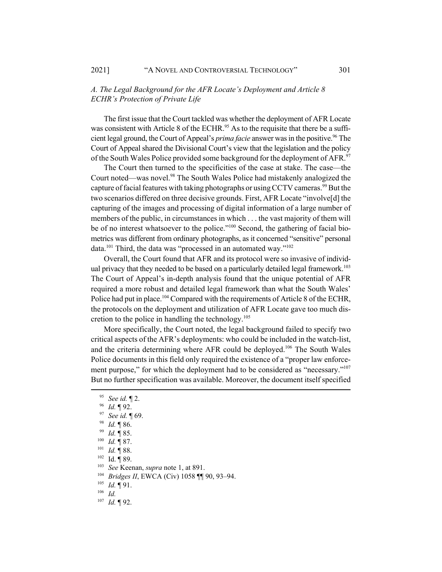## *A. The Legal Background for the AFR Locate's Deployment and Article 8 ECHR's Protection of Private Life*

The first issue that the Court tackled was whether the deployment of AFR Locate was consistent with Article 8 of the ECHR.<sup>95</sup> As to the requisite that there be a sufficient legal ground, the Court of Appeal's *prima facie* answer was in the positive.<sup>96</sup> The Court of Appeal shared the Divisional Court's view that the legislation and the policy of the South Wales Police provided some background for the deployment of AFR.<sup>97</sup>

The Court then turned to the specificities of the case at stake. The case—the Court noted—was novel.<sup>98</sup> The South Wales Police had mistakenly analogized the capture of facial features with taking photographs or using CCTV cameras.<sup>99</sup> But the two scenarios differed on three decisive grounds. First, AFR Locate "involve[d] the capturing of the images and processing of digital information of a large number of members of the public, in circumstances in which . . . the vast majority of them will be of no interest whatsoever to the police."<sup>100</sup> Second, the gathering of facial biometrics was different from ordinary photographs, as it concerned "sensitive" personal data.<sup>101</sup> Third, the data was "processed in an automated way."<sup>102</sup>

Overall, the Court found that AFR and its protocol were so invasive of individual privacy that they needed to be based on a particularly detailed legal framework.<sup>103</sup> The Court of Appeal's in-depth analysis found that the unique potential of AFR required a more robust and detailed legal framework than what the South Wales' Police had put in place.<sup>104</sup> Compared with the requirements of Article 8 of the ECHR, the protocols on the deployment and utilization of AFR Locate gave too much discretion to the police in handling the technology.<sup>105</sup>

More specifically, the Court noted, the legal background failed to specify two critical aspects of the AFR's deployments: who could be included in the watch-list, and the criteria determining where AFR could be deployed.<sup>106</sup> The South Wales Police documents in this field only required the existence of a "proper law enforcement purpose," for which the deployment had to be considered as "necessary."<sup>107</sup> But no further specification was available. Moreover, the document itself specified

- <sup>96</sup> *Id.* 192.<br><sup>97</sup> *See id* 1
- <sup>97</sup> *See id.* ¶ 69.
- *Id.* 186.
- <sup>99</sup> *Id.* ¶ 85.
- <sup>100</sup> *Id.* ¶ 87.
- <sup>101</sup> *Id.* ¶ 88.
- <sup>102</sup> Id. ¶ 89.
- 
- <sup>103</sup> *See* Keenan, *supra* note 1, at 891.
- <sup>104</sup> *Bridges II*, EWCA (Civ) 1058 ¶¶ 90, 93–94.
- <sup>105</sup> *Id.* ¶ 91.
- <sup>106</sup> *Id.*
- <sup>107</sup> *Id.* ¶ 92.

<sup>95</sup> *See id.* ¶ 2.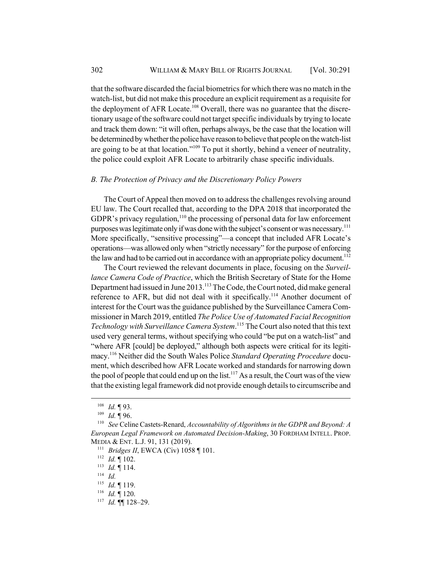that the software discarded the facial biometrics for which there was no match in the watch-list, but did not make this procedure an explicit requirement as a requisite for the deployment of AFR Locate.<sup>108</sup> Overall, there was no guarantee that the discretionary usage of the software could not target specific individuals by trying to locate and track them down: "it will often, perhaps always, be the case that the location will be determined by whether the police have reason to believe that people on the watch-list are going to be at that location."109 To put it shortly, behind a veneer of neutrality, the police could exploit AFR Locate to arbitrarily chase specific individuals.

## *B. The Protection of Privacy and the Discretionary Policy Powers*

The Court of Appeal then moved on to address the challenges revolving around EU law. The Court recalled that, according to the DPA 2018 that incorporated the GDPR's privacy regulation,  $110$  the processing of personal data for law enforcement purposes was legitimate only if was done with the subject's consent or was necessary.<sup>111</sup> More specifically, "sensitive processing"—a concept that included AFR Locate's operations—was allowed only when "strictly necessary" for the purpose of enforcing the law and had to be carried out in accordance with an appropriate policy document.<sup>112</sup>

The Court reviewed the relevant documents in place, focusing on the *Surveillance Camera Code of Practice*, which the British Secretary of State for the Home Department had issued in June 2013.<sup>113</sup> The Code, the Court noted, did make general reference to AFR, but did not deal with it specifically.<sup>114</sup> Another document of interest for the Court was the guidance published by the Surveillance Camera Commissioner in March 2019, entitled *The Police Use of Automated Facial Recognition Technology with Surveillance Camera System*. 115 The Court also noted that this text used very general terms, without specifying who could "be put on a watch-list" and "where AFR [could] be deployed," although both aspects were critical for its legitimacy.116 Neither did the South Wales Police *Standard Operating Procedure* document, which described how AFR Locate worked and standards for narrowing down the pool of people that could end up on the list.<sup>117</sup> As a result, the Court was of the view that the existing legal framework did not provide enough details to circumscribe and

<sup>108</sup> *Id.* ¶ 93.

<sup>109</sup> *Id.* ¶ 96.

<sup>110</sup> *See* Celine Castets-Renard, *Accountability of Algorithms in the GDPR and Beyond: A European Legal Framework on Automated Decision-Making*, 30 FORDHAM INTELL. PROP. MEDIA & ENT. L.J. 91, 131 (2019).

<sup>111</sup> *Bridges II*, EWCA (Civ) 1058 ¶ 101.

<sup>112</sup> *Id.* ¶ 102.

<sup>113</sup> *Id.* ¶ 114.

<sup>114</sup> *Id.*

<sup>115</sup> *Id.* ¶ 119.

<sup>116</sup> *Id.* ¶ 120.

<sup>117</sup> *Id.* ¶¶ 128–29.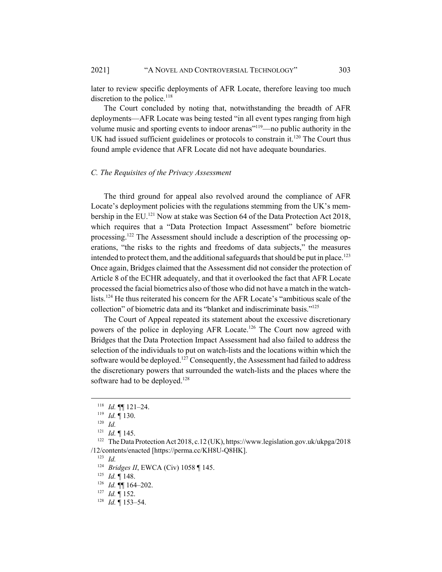later to review specific deployments of AFR Locate, therefore leaving too much discretion to the police. $^{118}$ 

The Court concluded by noting that, notwithstanding the breadth of AFR deployments—AFR Locate was being tested "in all event types ranging from high volume music and sporting events to indoor arenas<sup>"119</sup>—no public authority in the UK had issued sufficient guidelines or protocols to constrain it.<sup>120</sup> The Court thus found ample evidence that AFR Locate did not have adequate boundaries.

## *C. The Requisites of the Privacy Assessment*

The third ground for appeal also revolved around the compliance of AFR Locate's deployment policies with the regulations stemming from the UK's membership in the EU.<sup>121</sup> Now at stake was Section 64 of the Data Protection Act 2018, which requires that a "Data Protection Impact Assessment" before biometric processing.<sup>122</sup> The Assessment should include a description of the processing operations, "the risks to the rights and freedoms of data subjects," the measures intended to protect them, and the additional safeguards that should be put in place.<sup>123</sup> Once again, Bridges claimed that the Assessment did not consider the protection of Article 8 of the ECHR adequately, and that it overlooked the fact that AFR Locate processed the facial biometrics also of those who did not have a match in the watchlists.<sup>124</sup> He thus reiterated his concern for the AFR Locate's "ambitious scale of the collection" of biometric data and its "blanket and indiscriminate basis."125

The Court of Appeal repeated its statement about the excessive discretionary powers of the police in deploying AFR Locate.<sup>126</sup> The Court now agreed with Bridges that the Data Protection Impact Assessment had also failed to address the selection of the individuals to put on watch-lists and the locations within which the software would be deployed.<sup>127</sup> Consequently, the Assessment had failed to address the discretionary powers that surrounded the watch-lists and the places where the software had to be deployed.<sup>128</sup>

<sup>123</sup> *Id.*

<sup>124</sup> *Bridges II*, EWCA (Civ) 1058 ¶ 145.

<sup>125</sup> *Id.* ¶ 148.

<sup>118</sup> *Id.* ¶¶ 121–24.

<sup>119</sup> *Id.* ¶ 130.

<sup>120</sup> *Id.*

<sup>121</sup> *Id.* ¶ 145.

<sup>122</sup> The Data Protection Act 2018, c.12 (UK), https://www.legislation.gov.uk/ukpga/2018 /12/contents/enacted [https://perma.cc/KH8U-Q8HK].

<sup>126</sup> *Id.* ¶¶ 164–202.

<sup>127</sup> *Id.* ¶ 152.

<sup>128</sup> *Id.* ¶ 153–54.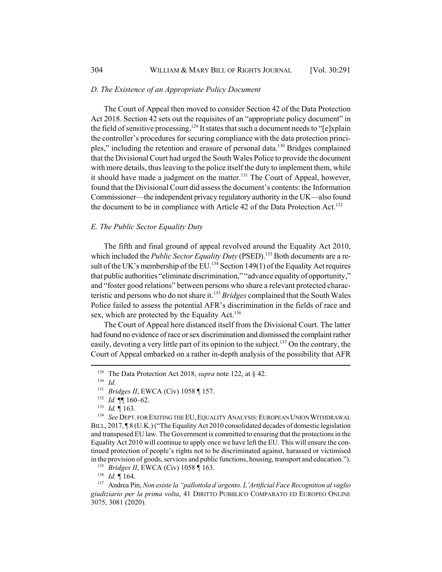#### *D. The Existence of an Appropriate Policy Document*

The Court of Appeal then moved to consider Section 42 of the Data Protection Act 2018. Section 42 sets out the requisites of an "appropriate policy document" in the field of sensitive processing.<sup>129</sup> It states that such a document needs to " $[e]$ xplain the controller's procedures for securing compliance with the data protection principles," including the retention and erasure of personal data.<sup>130</sup> Bridges complained that the Divisional Court had urged the South Wales Police to provide the document with more details, thus leaving to the police itself the duty to implement them, while it should have made a judgment on the matter.<sup>131</sup> The Court of Appeal, however, found that the Divisional Court did assess the document's contents: the Information Commissioner—the independent privacy regulatory authority in the UK—also found the document to be in compliance with Article 42 of the Data Protection Act.<sup>132</sup>

## *E. The Public Sector Equality Duty*

The fifth and final ground of appeal revolved around the Equality Act 2010, which included the *Public Sector Equality Duty* (PSED).<sup>133</sup> Both documents are a result of the UK's membership of the EU.<sup>134</sup> Section 149(1) of the Equality Act requires that public authorities "eliminate discrimination," "advance equality of opportunity," and "foster good relations" between persons who share a relevant protected characteristic and persons who do not share it.135 *Bridges* complained that the South Wales Police failed to assess the potential AFR's discrimination in the fields of race and sex, which are protected by the Equality Act.<sup>136</sup>

The Court of Appeal here distanced itself from the Divisional Court. The latter had found no evidence of race or sex discrimination and dismissed the complaint rather easily, devoting a very little part of its opinion to the subject.<sup>137</sup> On the contrary, the Court of Appeal embarked on a rather in-depth analysis of the possibility that AFR

<sup>136</sup> *Id.* ¶ 164.

<sup>&</sup>lt;sup>129</sup> The Data Protection Act 2018, *supra* note 122, at § 42.

 $\frac{130}{131}$  *Id.* 

<sup>131</sup> *Bridges II*, EWCA (Civ) 1058 ¶ 157.

<sup>132</sup> *Id.* ¶¶ 160–62.

<sup>&</sup>lt;sup>133</sup> *Id.* 163.<br><sup>134</sup> *See* DEPT

See DEPT. FOR EXITING THE EU, EQUALITY ANALYSIS: EUROPEAN UNION WITHDRAWAL BILL, 2017, ¶8 (U.K.) ("The Equality Act 2010 consolidated decades of domestic legislation and transposed EU law. The Government is committed to ensuring that the protections in the Equality Act 2010 will continue to apply once we have left the EU. This will ensure the continued protection of people's rights not to be discriminated against, harassed or victimised in the provision of goods, services and public functions, housing, transport and education.").

<sup>135</sup> *Bridges II*, EWCA (Civ) 1058 ¶ 163.

<sup>137</sup> Andrea Pin, *Non esiste la "pallottola d'argento. L'Artificial Face Recognition al vaglio giudiziario per la prima volta*, 41 DIRITTO PUBBLICO COMPARATO ED EUROPEO ONLINE 3075, 3081 (2020).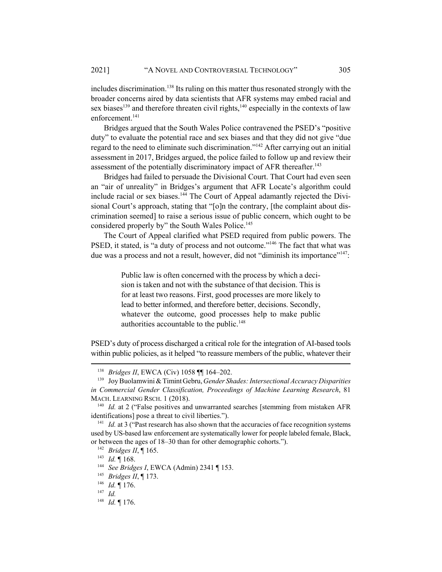includes discrimination.<sup>138</sup> Its ruling on this matter thus resonated strongly with the broader concerns aired by data scientists that AFR systems may embed racial and sex biases<sup>139</sup> and therefore threaten civil rights,<sup>140</sup> especially in the contexts of law enforcement.<sup>141</sup>

Bridges argued that the South Wales Police contravened the PSED's "positive duty" to evaluate the potential race and sex biases and that they did not give "due regard to the need to eliminate such discrimination."<sup>142</sup> After carrying out an initial assessment in 2017, Bridges argued, the police failed to follow up and review their assessment of the potentially discriminatory impact of AFR thereafter.<sup>143</sup>

Bridges had failed to persuade the Divisional Court. That Court had even seen an "air of unreality" in Bridges's argument that AFR Locate's algorithm could include racial or sex biases.<sup>144</sup> The Court of Appeal adamantly rejected the Divisional Court's approach, stating that "[o]n the contrary, [the complaint about discrimination seemed] to raise a serious issue of public concern, which ought to be considered properly by" the South Wales Police.<sup>145</sup>

The Court of Appeal clarified what PSED required from public powers. The PSED, it stated, is "a duty of process and not outcome."<sup>146</sup> The fact that what was due was a process and not a result, however, did not "diminish its importance"<sup>147</sup>:

> Public law is often concerned with the process by which a decision is taken and not with the substance of that decision. This is for at least two reasons. First, good processes are more likely to lead to better informed, and therefore better, decisions. Secondly, whatever the outcome, good processes help to make public authorities accountable to the public. $148$

PSED's duty of process discharged a critical role for the integration of AI-based tools within public policies, as it helped "to reassure members of the public, whatever their

<sup>138</sup> *Bridges II*, EWCA (Civ) 1058 ¶¶ 164–202.

<sup>139</sup> Joy Buolamwini & Timint Gebru, *Gender Shades: Intersectional Accuracy Disparities in Commercial Gender Classification, Proceedings of Machine Learning Research*, 81 MACH. LEARNING RSCH. 1 (2018).

<sup>&</sup>lt;sup>140</sup> *Id.* at 2 ("False positives and unwarranted searches [stemming from mistaken AFR identifications] pose a threat to civil liberties.").

<sup>&</sup>lt;sup>141</sup> *Id.* at 3 ("Past research has also shown that the accuracies of face recognition systems used by US-based law enforcement are systematically lower for people labeled female, Black, or between the ages of 18–30 than for other demographic cohorts.").

<sup>142</sup> *Bridges II*, ¶ 165.

<sup>143</sup> *Id.* ¶ 168.

<sup>144</sup> *See Bridges I*, EWCA (Admin) 2341 ¶ 153.

<sup>145</sup> *Bridges II*, ¶ 173.

<sup>146</sup> *Id.* ¶ 176.

<sup>147</sup> *Id.*

<sup>148</sup> *Id.* ¶ 176.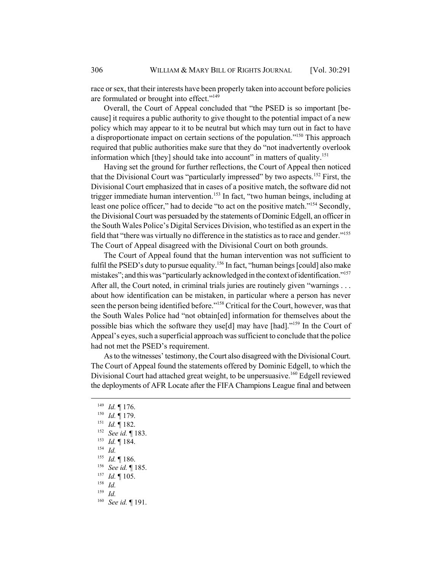race or sex, that their interests have been properly taken into account before policies are formulated or brought into effect."149

Overall, the Court of Appeal concluded that "the PSED is so important [because] it requires a public authority to give thought to the potential impact of a new policy which may appear to it to be neutral but which may turn out in fact to have a disproportionate impact on certain sections of the population."<sup>150</sup> This approach required that public authorities make sure that they do "not inadvertently overlook information which [they] should take into account" in matters of quality.<sup>151</sup>

Having set the ground for further reflections, the Court of Appeal then noticed that the Divisional Court was "particularly impressed" by two aspects.<sup>152</sup> First, the Divisional Court emphasized that in cases of a positive match, the software did not trigger immediate human intervention.<sup>153</sup> In fact, "two human beings, including at least one police officer," had to decide "to act on the positive match."<sup>154</sup> Secondly, the Divisional Court was persuaded by the statements of Dominic Edgell, an officer in the South Wales Police's Digital Services Division, who testified as an expert in the field that "there was virtually no difference in the statistics as to race and gender."155 The Court of Appeal disagreed with the Divisional Court on both grounds.

The Court of Appeal found that the human intervention was not sufficient to fulfil the PSED's duty to pursue equality.<sup>156</sup> In fact, "human beings [could] also make mistakes"; and this was "particularly acknowledged in the context of identification."<sup>157</sup> After all, the Court noted, in criminal trials juries are routinely given "warnings . . . about how identification can be mistaken, in particular where a person has never seen the person being identified before."<sup>158</sup> Critical for the Court, however, was that the South Wales Police had "not obtain[ed] information for themselves about the possible bias which the software they use[d] may have [had]."<sup>159</sup> In the Court of Appeal's eyes, such a superficial approach was sufficient to conclude that the police had not met the PSED's requirement.

As to the witnesses' testimony, the Court also disagreed with the Divisional Court. The Court of Appeal found the statements offered by Dominic Edgell, to which the Divisional Court had attached great weight, to be unpersuasive.<sup>160</sup> Edgell reviewed the deployments of AFR Locate after the FIFA Champions League final and between

<sup>149</sup> *Id.* ¶ 176.

<sup>150</sup> *Id.* ¶ 179.

<sup>151</sup> *Id.* ¶ 182.

<sup>152</sup> *See id.* ¶ 183.

<sup>153</sup> *Id.* ¶ 184.

<sup>154</sup> *Id.*

<sup>155</sup> *Id.* ¶ 186.

<sup>156</sup> *See id.* ¶ 185.

 $\frac{157}{158}$  *Id.* 105.

 $\frac{158}{159}$  *Id.* 

*Id.* 

<sup>160</sup> *See id.* ¶ 191.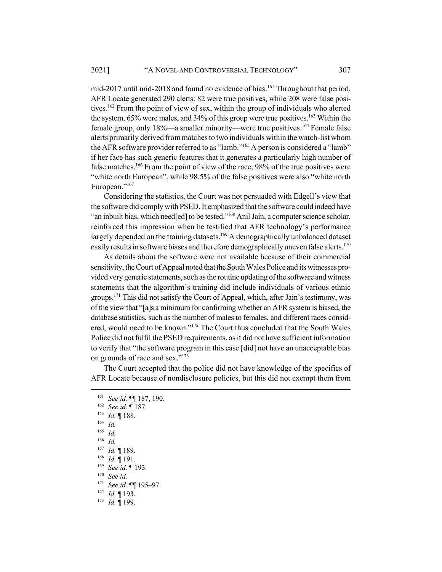mid-2017 until mid-2018 and found no evidence of bias.<sup>161</sup> Throughout that period, AFR Locate generated 290 alerts: 82 were true positives, while 208 were false positives.<sup>162</sup> From the point of view of sex, within the group of individuals who alerted the system,  $65\%$  were males, and  $34\%$  of this group were true positives.<sup>163</sup> Within the female group, only 18%—a smaller minority—were true positives.<sup>164</sup> Female false alerts primarily derived from matches to two individuals within the watch-list whom the AFR software provider referred to as "lamb."165 A person is considered a "lamb" if her face has such generic features that it generates a particularly high number of false matches.<sup>166</sup> From the point of view of the race, 98% of the true positives were "white north European", while 98.5% of the false positives were also "white north European."<sup>167</sup>

Considering the statistics, the Court was not persuaded with Edgell's view that the software did comply with PSED. It emphasized that the software could indeed have "an inbuilt bias, which need[ed] to be tested."<sup>168</sup> Anil Jain, a computer science scholar, reinforced this impression when he testified that AFR technology's performance largely depended on the training datasets.<sup>169</sup> A demographically unbalanced dataset easily results in software biases and therefore demographically uneven false alerts.<sup>170</sup>

As details about the software were not available because of their commercial sensitivity, the Court of Appeal noted that the South Wales Police and its witnesses provided very generic statements, such as the routine updating of the software and witness statements that the algorithm's training did include individuals of various ethnic groups.<sup>171</sup> This did not satisfy the Court of Appeal, which, after Jain's testimony, was of the view that "[a]s a minimum for confirming whether an AFR system is biased, the database statistics, such as the number of males to females, and different races considered, would need to be known."172 The Court thus concluded that the South Wales Police did not fulfil the PSED requirements, as it did not have sufficient information to verify that "the software program in this case [did] not have an unacceptable bias on grounds of race and sex."173

The Court accepted that the police did not have knowledge of the specifics of AFR Locate because of nondisclosure policies, but this did not exempt them from

- <sup>168</sup> *Id.* ¶ 191.
- <sup>169</sup> *See id.* ¶ 193.
- <sup>170</sup> *See id.*
- <sup>171</sup> *See id.* ¶¶ 195–97.
- <sup>172</sup> *Id.* ¶ 193.
- <sup>173</sup> *Id.* ¶ 199.

<sup>161</sup> *See id.* ¶¶ 187, 190.

<sup>162</sup> *See id.* ¶ 187.

<sup>163</sup> *Id.* ¶ 188.

<sup>164</sup> *Id.*

 $\frac{165}{166}$  *Id.* 

<sup>166</sup> *Id.*

<sup>167</sup> *Id.* ¶ 189.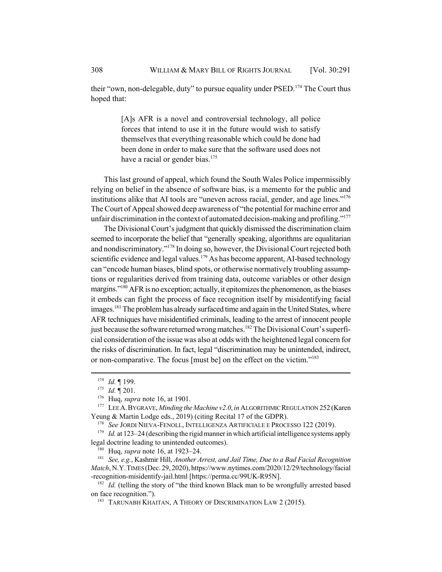their "own, non-delegable, duty" to pursue equality under  $PSED$ .<sup>174</sup> The Court thus hoped that:

> [A]s AFR is a novel and controversial technology, all police forces that intend to use it in the future would wish to satisfy themselves that everything reasonable which could be done had been done in order to make sure that the software used does not have a racial or gender bias.<sup>175</sup>

This last ground of appeal, which found the South Wales Police impermissibly relying on belief in the absence of software bias, is a memento for the public and institutions alike that AI tools are "uneven across racial, gender, and age lines."<sup>176</sup> The Court of Appeal showed deep awareness of "the potential for machine error and unfair discrimination in the context of automated decision-making and profiling."<sup>177</sup>

The Divisional Court's judgment that quickly dismissed the discrimination claim seemed to incorporate the belief that "generally speaking, algorithms are equalitarian and nondiscriminatory."178 In doing so, however, the Divisional Court rejected both scientific evidence and legal values.<sup>179</sup> As has become apparent, AI-based technology can "encode human biases, blind spots, or otherwise normatively troubling assumptions or regularities derived from training data, outcome variables or other design margins."<sup>180</sup> AFR is no exception; actually, it epitomizes the phenomenon, as the biases it embeds can fight the process of face recognition itself by misidentifying facial images.<sup>181</sup> The problem has already surfaced time and again in the United States, where AFR techniques have misidentified criminals, leading to the arrest of innocent people just because the software returned wrong matches.<sup>182</sup> The Divisional Court's superficial consideration of the issue was also at odds with the heightened legal concern for the risks of discrimination. In fact, legal "discrimination may be unintended, indirect, or non-comparative. The focus [must be] on the effect on the victim."183

<sup>179</sup> *Id.* at 123–24 (describing the rigid manner in which artificial intelligence systems apply legal doctrine leading to unintended outcomes).

<sup>180</sup> Huq, *supra* note 16, at 1923–24.

<sup>181</sup> *See, e.g.*, Kashmir Hill, *Another Arrest, and Jail Time, Due to a Bad Facial Recognition Match*, N.Y.TIMES (Dec. 29, 2020), https://www.nytimes.com/2020/12/29/technology/facial -recognition-misidentify-jail.html [https://perma.cc/99UK-R95N].

<sup>182</sup> *Id.* (telling the story of "the third known Black man to be wrongfully arrested based on face recognition.").

<sup>183</sup> TARUNABH KHAITAN, A THEORY OF DISCRIMINATION LAW 2 (2015).

<sup>174</sup> *Id.* ¶ 199.

<sup>175</sup> *Id.* ¶ 201.

<sup>176</sup> Huq, *supra* note 16, at 1901.

<sup>177</sup> LEE A.BYGRAVE, *Minding the Machine v2.0*, *in* ALGORITHMIC REGULATION 252 (Karen Yeung & Martin Lodge eds., 2019) (citing Recital 17 of the GDPR).

<sup>178</sup> *See* JORDI NIEVA-FENOLL, INTELLIGENZA ARTIFICIALE E PROCESSO 122 (2019).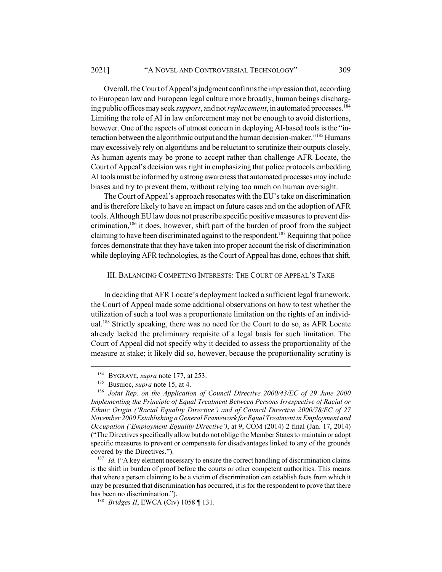Overall, the Court of Appeal's judgment confirms the impression that, according to European law and European legal culture more broadly, human beings discharging public offices may seek *support*, and not *replacement*, in automated processes.184 Limiting the role of AI in law enforcement may not be enough to avoid distortions, however. One of the aspects of utmost concern in deploying AI-based tools is the "interaction between the algorithmic output and the human decision-maker."<sup>185</sup> Humans may excessively rely on algorithms and be reluctant to scrutinize their outputs closely. As human agents may be prone to accept rather than challenge AFR Locate, the Court of Appeal's decision was right in emphasizing that police protocols embedding AI tools must be informed by a strong awareness that automated processes may include biases and try to prevent them, without relying too much on human oversight.

The Court of Appeal's approach resonates with the EU's take on discrimination and is therefore likely to have an impact on future cases and on the adoption of AFR tools. Although EU law does not prescribe specific positive measures to prevent discrimination,<sup>186</sup> it does, however, shift part of the burden of proof from the subject claiming to have been discriminated against to the respondent.<sup>187</sup> Requiring that police forces demonstrate that they have taken into proper account the risk of discrimination while deploying AFR technologies, as the Court of Appeal has done, echoes that shift.

## III. BALANCING COMPETING INTERESTS: THE COURT OF APPEAL'S TAKE

In deciding that AFR Locate's deployment lacked a sufficient legal framework, the Court of Appeal made some additional observations on how to test whether the utilization of such a tool was a proportionate limitation on the rights of an individual.<sup>188</sup> Strictly speaking, there was no need for the Court to do so, as AFR Locate already lacked the preliminary requisite of a legal basis for such limitation. The Court of Appeal did not specify why it decided to assess the proportionality of the measure at stake; it likely did so, however, because the proportionality scrutiny is

<sup>184</sup> BYGRAVE, *supra* note 177, at 253.

<sup>185</sup> Busuioc, *supra* note 15, at 4.

<sup>186</sup> *Joint Rep. on the Application of Council Directive 2000/43/EC of 29 June 2000 Implementing the Principle of Equal Treatment Between Persons Irrespective of Racial or Ethnic Origin ('Racial Equality Directive') and of Council Directive 2000/78/EC of 27 November 2000 Establishing a General Framework for Equal Treatment in Employment and Occupation ('Employment Equality Directive')*, at 9, COM (2014) 2 final (Jan. 17, 2014) ("The Directives specifically allow but do not oblige the Member States to maintain or adopt specific measures to prevent or compensate for disadvantages linked to any of the grounds covered by the Directives.").

<sup>&</sup>lt;sup>187</sup> *Id.* ("A key element necessary to ensure the correct handling of discrimination claims is the shift in burden of proof before the courts or other competent authorities. This means that where a person claiming to be a victim of discrimination can establish facts from which it may be presumed that discrimination has occurred, it is for the respondent to prove that there has been no discrimination.").

<sup>188</sup> *Bridges II*, EWCA (Civ) 1058 ¶ 131.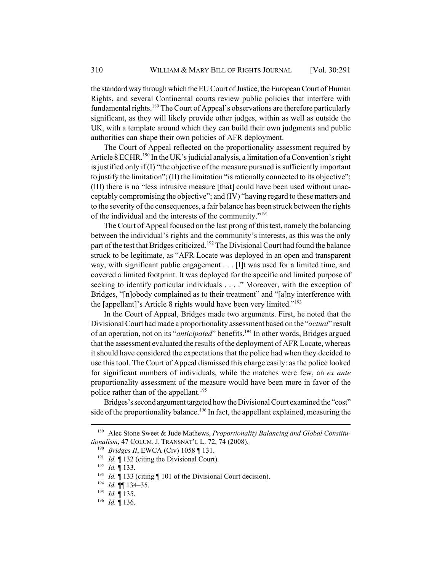the standard way through which the EU Court of Justice, the European Court of Human Rights, and several Continental courts review public policies that interfere with fundamental rights.<sup>189</sup> The Court of Appeal's observations are therefore particularly significant, as they will likely provide other judges, within as well as outside the UK, with a template around which they can build their own judgments and public authorities can shape their own policies of AFR deployment.

The Court of Appeal reflected on the proportionality assessment required by Article 8 ECHR.<sup>190</sup> In the UK's judicial analysis, a limitation of a Convention's right is justified only if (I) "the objective of the measure pursued is sufficiently important to justify the limitation"; (II) the limitation "is rationally connected to its objective"; (III) there is no "less intrusive measure [that] could have been used without unacceptably compromising the objective"; and (IV) "having regard to these matters and to the severity of the consequences, a fair balance has been struck between the rights of the individual and the interests of the community."191

The Court of Appeal focused on the last prong of this test, namely the balancing between the individual's rights and the community's interests, as this was the only part of the test that Bridges criticized.<sup>192</sup> The Divisional Court had found the balance struck to be legitimate, as "AFR Locate was deployed in an open and transparent way, with significant public engagement . . . [I]t was used for a limited time, and covered a limited footprint. It was deployed for the specific and limited purpose of seeking to identify particular individuals . . . ." Moreover, with the exception of Bridges, "[n]obody complained as to their treatment" and "[a]ny interference with the [appellant]'s Article 8 rights would have been very limited."193

In the Court of Appeal, Bridges made two arguments. First, he noted that the Divisional Court had made a proportionality assessment based on the "*actual*" result of an operation, not on its "*anticipated*" benefits.<sup>194</sup> In other words, Bridges argued that the assessment evaluated the results of the deployment of AFR Locate, whereas it should have considered the expectations that the police had when they decided to use this tool. The Court of Appeal dismissed this charge easily: as the police looked for significant numbers of individuals, while the matches were few, an *ex ante* proportionality assessment of the measure would have been more in favor of the police rather than of the appellant.<sup>195</sup>

Bridges's second argument targeted how the Divisional Court examined the "cost" side of the proportionality balance.<sup>196</sup> In fact, the appellant explained, measuring the

<sup>189</sup> Alec Stone Sweet & Jude Mathews, *Proportionality Balancing and Global Constitutionalism*, 47 COLUM. J. TRANSNAT'L L. 72, 74 (2008).

<sup>190</sup> *Bridges II*, EWCA (Civ) 1058 ¶ 131.

<sup>&</sup>lt;sup>191</sup> *Id.* ¶ 132 (citing the Divisional Court).

<sup>192</sup> *Id.* ¶ 133.

<sup>&</sup>lt;sup>193</sup> *Id.*  $\int$  133 (citing  $\int$  101 of the Divisional Court decision).

<sup>194</sup> *Id.* ¶¶ 134–35.

<sup>195</sup> *Id.* ¶ 135.

<sup>196</sup> *Id.* ¶ 136.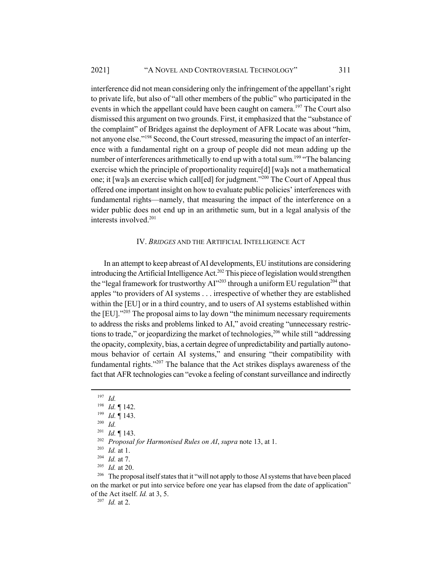interference did not mean considering only the infringement of the appellant's right to private life, but also of "all other members of the public" who participated in the events in which the appellant could have been caught on camera.<sup>197</sup> The Court also dismissed this argument on two grounds. First, it emphasized that the "substance of the complaint" of Bridges against the deployment of AFR Locate was about "him, not anyone else."<sup>198</sup> Second, the Court stressed, measuring the impact of an interference with a fundamental right on a group of people did not mean adding up the number of interferences arithmetically to end up with a total sum.<sup>199</sup> "The balancing" exercise which the principle of proportionality require[d] [wa]s not a mathematical one; it [wa]s an exercise which call[ed] for judgment."<sup>200</sup> The Court of Appeal thus offered one important insight on how to evaluate public policies' interferences with fundamental rights—namely, that measuring the impact of the interference on a wider public does not end up in an arithmetic sum, but in a legal analysis of the interests involved.201

## IV. *BRIDGES* AND THE ARTIFICIAL INTELLIGENCE ACT

In an attempt to keep abreast of AI developments, EU institutions are considering introducing the Artificial Intelligence Act.<sup>202</sup> This piece of legislation would strengthen the "legal framework for trustworthy  $AI$ "<sup>203</sup> through a uniform EU regulation<sup>204</sup> that apples "to providers of AI systems . . . irrespective of whether they are established within the [EU] or in a third country, and to users of AI systems established within the [EU]."<sup>205</sup> The proposal aims to lay down "the minimum necessary requirements to address the risks and problems linked to AI," avoid creating "unnecessary restrictions to trade," or jeopardizing the market of technologies,<sup>206</sup> while still "addressing the opacity, complexity, bias, a certain degree of unpredictability and partially autonomous behavior of certain AI systems," and ensuring "their compatibility with fundamental rights." $207$  The balance that the Act strikes displays awareness of the fact that AFR technologies can "evoke a feeling of constant surveillance and indirectly

 $\frac{205}{206}$  *Id.* at 20.

The proposal itself states that it "will not apply to those AI systems that have been placed on the market or put into service before one year has elapsed from the date of application" of the Act itself. *Id.* at 3, 5.

<sup>207</sup> *Id.* at 2.

<sup>197</sup> *Id.*

<sup>198</sup> *Id.* ¶ 142.

<sup>199</sup> *Id.* ¶ 143.

<sup>200</sup> *Id.*

<sup>201</sup> *Id.* ¶ 143.

<sup>202</sup> *Proposal for Harmonised Rules on AI*, *supra* note 13, at 1.

<sup>203</sup> *Id.* at 1.

<sup>204</sup> *Id.* at 7.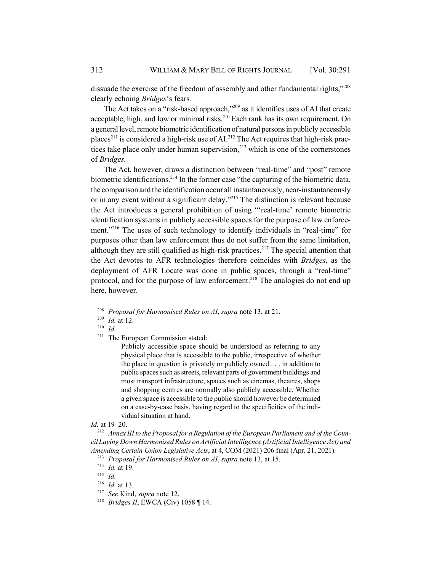dissuade the exercise of the freedom of assembly and other fundamental rights,"<sup>208</sup> clearly echoing *Bridges*'s fears*.*

The Act takes on a "risk-based approach,"209 as it identifies uses of AI that create acceptable, high, and low or minimal risks.<sup>210</sup> Each rank has its own requirement. On a general level, remote biometric identification of natural persons in publicly accessible places<sup>211</sup> is considered a high-risk use of AI.<sup>212</sup> The Act requires that high-risk practices take place only under human supervision, $^{213}$  which is one of the cornerstones of *Bridges.*

The Act, however, draws a distinction between "real-time" and "post" remote biometric identifications.<sup>214</sup> In the former case "the capturing of the biometric data, the comparison and the identification occur all instantaneously, near-instantaneously or in any event without a significant delay.<sup>3215</sup> The distinction is relevant because the Act introduces a general prohibition of using "'real-time' remote biometric identification systems in publicly accessible spaces for the purpose of law enforcement."<sup>216</sup> The uses of such technology to identify individuals in "real-time" for purposes other than law enforcement thus do not suffer from the same limitation, although they are still qualified as high-risk practices.<sup>217</sup> The special attention that the Act devotes to AFR technologies therefore coincides with *Bridges*, as the deployment of AFR Locate was done in public spaces, through a "real-time" protocol, and for the purpose of law enforcement.<sup>218</sup> The analogies do not end up here, however.

Publicly accessible space should be understood as referring to any physical place that is accessible to the public, irrespective of whether the place in question is privately or publicly owned . . . in addition to public spaces such as streets, relevant parts of government buildings and most transport infrastructure, spaces such as cinemas, theatres, shops and shopping centres are normally also publicly accessible. Whether a given space is accessible to the public should however be determined on a case-by-case basis, having regard to the specificities of the individual situation at hand.

*Id.* at 19–20.

<sup>212</sup> *Annex III to the Proposal for a Regulation of the European Parliament and of the Council Laying Down Harmonised Rules on Artificial Intelligence (Artificial Intelligence Act) and Amending Certain Union Legislative Acts*, at 4, COM (2021) 206 final (Apr. 21, 2021).

<sup>215</sup> *Id.*

<sup>208</sup> *Proposal for Harmonised Rules on AI*, *supra* note 13, at 21.

<sup>209</sup> *Id.* at 12.

<sup>210</sup> *Id.*

<sup>&</sup>lt;sup>211</sup> The European Commission stated:

<sup>213</sup> *Proposal for Harmonised Rules on AI*, *supra* note 13, at 15.

<sup>214</sup> *Id.* at 19.

<sup>216</sup> *Id.* at 13.

<sup>217</sup> *See* Kind, *supra* note 12.

<sup>218</sup> *Bridges II*, EWCA (Civ) 1058 ¶ 14.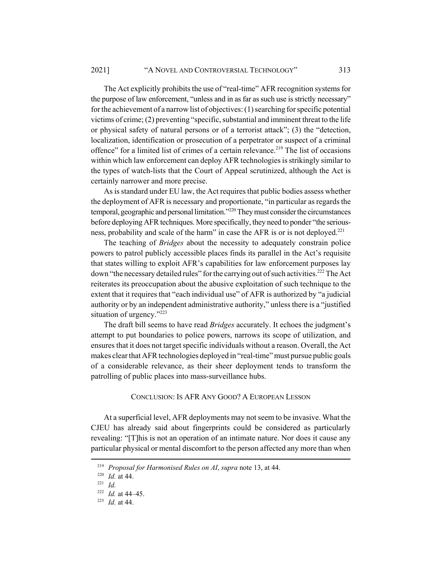The Act explicitly prohibits the use of "real-time" AFR recognition systems for the purpose of law enforcement, "unless and in as far as such use is strictly necessary" for the achievement of a narrow list of objectives: (1) searching for specific potential victims of crime; (2) preventing "specific, substantial and imminent threat to the life or physical safety of natural persons or of a terrorist attack"; (3) the "detection, localization, identification or prosecution of a perpetrator or suspect of a criminal offence" for a limited list of crimes of a certain relevance.<sup>219</sup> The list of occasions within which law enforcement can deploy AFR technologies is strikingly similar to the types of watch-lists that the Court of Appeal scrutinized, although the Act is certainly narrower and more precise.

As is standard under EU law, the Act requires that public bodies assess whether the deployment of AFR is necessary and proportionate, "in particular as regards the temporal, geographic and personal limitation."<sup>220</sup> They must consider the circumstances before deploying AFR techniques. More specifically, they need to ponder "the seriousness, probability and scale of the harm" in case the AFR is or is not deployed.<sup>221</sup>

The teaching of *Bridges* about the necessity to adequately constrain police powers to patrol publicly accessible places finds its parallel in the Act's requisite that states willing to exploit AFR's capabilities for law enforcement purposes lay down "the necessary detailed rules" for the carrying out of such activities.<sup>222</sup> The Act reiterates its preoccupation about the abusive exploitation of such technique to the extent that it requires that "each individual use" of AFR is authorized by "a judicial authority or by an independent administrative authority," unless there is a "justified situation of urgency."<sup>223</sup>

The draft bill seems to have read *Bridges* accurately. It echoes the judgment's attempt to put boundaries to police powers, narrows its scope of utilization, and ensures that it does not target specific individuals without a reason. Overall, the Act makes clear that AFR technologies deployed in "real-time" must pursue public goals of a considerable relevance, as their sheer deployment tends to transform the patrolling of public places into mass-surveillance hubs.

### CONCLUSION: IS AFR ANY GOOD? A EUROPEAN LESSON

At a superficial level, AFR deployments may not seem to be invasive. What the CJEU has already said about fingerprints could be considered as particularly revealing: "[T]his is not an operation of an intimate nature. Nor does it cause any particular physical or mental discomfort to the person affected any more than when

<sup>219</sup> *Proposal for Harmonised Rules on AI*, *supra* note 13, at 44.

<sup>220</sup> *Id.* at 44.

<sup>221</sup> *Id.*

<sup>222</sup> *Id.* at 44–45.

<sup>223</sup> *Id.* at 44.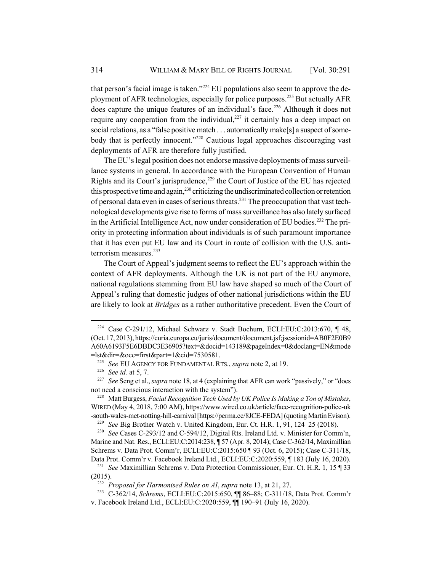that person's facial image is taken."<sup>224</sup> EU populations also seem to approve the deployment of AFR technologies, especially for police purposes.<sup>225</sup> But actually AFR does capture the unique features of an individual's face.<sup>226</sup> Although it does not require any cooperation from the individual, $227$  it certainly has a deep impact on social relations, as a "false positive match . . . automatically make<sup>[5]</sup> a suspect of somebody that is perfectly innocent."<sup>228</sup> Cautious legal approaches discouraging vast deployments of AFR are therefore fully justified.

The EU's legal position does not endorse massive deployments of mass surveillance systems in general. In accordance with the European Convention of Human Rights and its Court's jurisprudence, $229$  the Court of Justice of the EU has rejected this prospective time and again, $^{230}$  criticizing the undiscriminated collection or retention of personal data even in cases of serious threats.<sup>231</sup> The preoccupation that vast technological developments give rise to forms of mass surveillance has also lately surfaced in the Artificial Intelligence Act, now under consideration of EU bodies.<sup>232</sup> The priority in protecting information about individuals is of such paramount importance that it has even put EU law and its Court in route of collision with the U.S. antiterrorism measures.<sup>233</sup>

The Court of Appeal's judgment seems to reflect the EU's approach within the context of AFR deployments. Although the UK is not part of the EU anymore, national regulations stemming from EU law have shaped so much of the Court of Appeal's ruling that domestic judges of other national jurisdictions within the EU are likely to look at *Bridges* as a rather authoritative precedent. Even the Court of

<sup>&</sup>lt;sup>224</sup> Case C-291/12, Michael Schwarz v. Stadt Bochum, ECLI:EU:C:2013:670, ¶ 48, (Oct. 17, 2013), https://curia.europa.eu/juris/document/document.jsf;jsessionid=AB0F2E0B9 A60A6193F5E6DBDC3E36905?text=&docid=143189&pageIndex=0&doclang=EN&mode =lst&dir=&occ=first&part=1&cid=7530581.

<sup>225</sup> *See* EU AGENCY FOR FUNDAMENTAL RTS., *supra* note 2, at 19.

<sup>226</sup> *See id.* at 5, 7.

<sup>227</sup> *See* Seng et al., *supra* note 18, at 4 (explaining that AFR can work "passively," or "does not need a conscious interaction with the system").

<sup>228</sup> Matt Burgess, *Facial Recognition Tech Used by UK Police Is Making a Ton of Mistakes*, WIRED (May 4, 2018, 7:00 AM), https://www.wired.co.uk/article/face-recognition-police-uk -south-wales-met-notting-hill-carnival [https://perma.cc/8JCE-FEDA] (quoting Martin Evison).

<sup>229</sup> *See* Big Brother Watch v. United Kingdom, Eur. Ct. H.R. 1, 91, 124–25 (2018).

<sup>230</sup> *See* Cases C-293/12 and C-594/12, Digital Rts. Ireland Ltd. v. Minister for Comm'n, Marine and Nat. Res., ECLI:EU:C:2014:238, ¶ 57 (Apr. 8, 2014); Case C-362/14, Maximillian Schrems v. Data Prot. Comm'r, ECLI:EU:C:2015:650 ¶ 93 (Oct. 6, 2015); Case C-311/18, Data Prot. Comm'r v. Facebook Ireland Ltd., ECLI:EU:C:2020:559, ¶ 183 (July 16, 2020).

<sup>231</sup> *See* Maximillian Schrems v. Data Protection Commissioner, Eur. Ct. H.R. 1, 15 ¶ 33 (2015).

<sup>232</sup> *Proposal for Harmonised Rules on AI*, *supra* note 13, at 21, 27.

<sup>233</sup> C-362/14, *Schrems*, ECLI:EU:C:2015:650, ¶¶ 86–88; C-311/18, Data Prot. Comm'r v. Facebook Ireland Ltd., ECLI:EU:C:2020:559, ¶¶ 190–91 (July 16, 2020).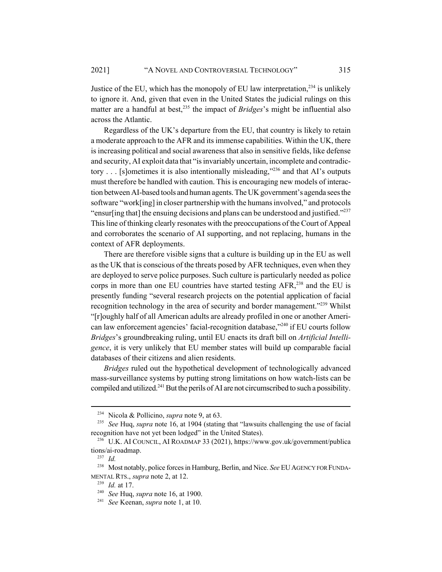Justice of the EU, which has the monopoly of EU law interpretation,  $234$  is unlikely to ignore it. And, given that even in the United States the judicial rulings on this matter are a handful at best,<sup>235</sup> the impact of *Bridges*'s might be influential also across the Atlantic.

Regardless of the UK's departure from the EU, that country is likely to retain a moderate approach to the AFR and its immense capabilities. Within the UK, there is increasing political and social awareness that also in sensitive fields, like defense and security, AI exploit data that "is invariably uncertain, incomplete and contradictory  $\ldots$  [s]ometimes it is also intentionally misleading,"<sup>236</sup> and that AI's outputs must therefore be handled with caution. This is encouraging new models of interaction between AI-based tools and human agents. The UK government's agenda sees the software "work[ing] in closer partnership with the humans involved," and protocols "ensurling that] the ensuing decisions and plans can be understood and justified." $2^{237}$ This line of thinking clearly resonates with the preoccupations of the Court of Appeal and corroborates the scenario of AI supporting, and not replacing, humans in the context of AFR deployments.

There are therefore visible signs that a culture is building up in the EU as well as the UK that is conscious of the threats posed by AFR techniques, even when they are deployed to serve police purposes. Such culture is particularly needed as police corps in more than one EU countries have started testing  $AFR$ ,<sup>238</sup> and the EU is presently funding "several research projects on the potential application of facial recognition technology in the area of security and border management."<sup>239</sup> Whilst "[r]oughly half of all American adults are already profiled in one or another American law enforcement agencies' facial-recognition database,"240 if EU courts follow *Bridges*'s groundbreaking ruling, until EU enacts its draft bill on *Artificial Intelligence*, it is very unlikely that EU member states will build up comparable facial databases of their citizens and alien residents.

*Bridges* ruled out the hypothetical development of technologically advanced mass-surveillance systems by putting strong limitations on how watch-lists can be compiled and utilized.<sup>241</sup> But the perils of AI are not circumscribed to such a possibility.

<sup>234</sup> Nicola & Pollicino, *supra* note 9, at 63.

<sup>235</sup> *See* Huq, *supra* note 16, at 1904 (stating that "lawsuits challenging the use of facial recognition have not yet been lodged" in the United States).

<sup>236</sup> U.K. AI COUNCIL, AI ROADMAP 33 (2021), https://www.gov.uk/government/publica tions/ai-roadmap.

<sup>237</sup> *Id.*

<sup>&</sup>lt;sup>238</sup> Most notably, police forces in Hamburg, Berlin, and Nice. See EU AGENCY FOR FUNDA-MENTAL RTS., *supra* note 2, at 12.

<sup>239</sup> *Id.* at 17.

<sup>240</sup> *See* Huq, *supra* note 16, at 1900.

<sup>241</sup> *See* Keenan, *supra* note 1, at 10.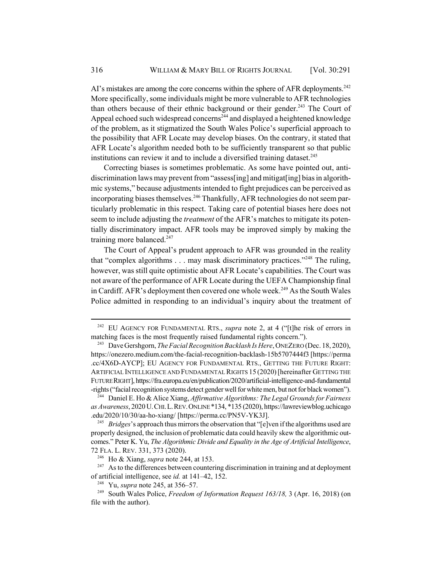AI's mistakes are among the core concerns within the sphere of AFR deployments.<sup>242</sup> More specifically, some individuals might be more vulnerable to AFR technologies than others because of their ethnic background or their gender.<sup>243</sup> The Court of Appeal echoed such widespread concerns<sup>244</sup> and displayed a heightened knowledge of the problem, as it stigmatized the South Wales Police's superficial approach to the possibility that AFR Locate may develop biases. On the contrary, it stated that AFR Locate's algorithm needed both to be sufficiently transparent so that public institutions can review it and to include a diversified training dataset.<sup>245</sup>

Correcting biases is sometimes problematic. As some have pointed out, antidiscrimination laws may prevent from "assess[ing] and mitigat[ing] bias in algorithmic systems," because adjustments intended to fight prejudices can be perceived as incorporating biases themselves.<sup>246</sup> Thankfully, AFR technologies do not seem particularly problematic in this respect. Taking care of potential biases here does not seem to include adjusting the *treatment* of the AFR's matches to mitigate its potentially discriminatory impact. AFR tools may be improved simply by making the training more balanced.<sup>247</sup>

The Court of Appeal's prudent approach to AFR was grounded in the reality that "complex algorithms  $\dots$  may mask discriminatory practices."<sup>248</sup> The ruling, however, was still quite optimistic about AFR Locate's capabilities. The Court was not aware of the performance of AFR Locate during the UEFA Championship final in Cardiff. AFR's deployment then covered one whole week.<sup>249</sup> As the South Wales Police admitted in responding to an individual's inquiry about the treatment of

<sup>&</sup>lt;sup>242</sup> EU AGENCY FOR FUNDAMENTAL RTS., *supra* note 2, at 4 ("[t]he risk of errors in matching faces is the most frequently raised fundamental rights concern.").

<sup>&</sup>lt;sup>243</sup> Dave Gershgorn, *The Facial Recognition Backlash Is Here*, ONEZERO (Dec. 18, 2020), https://onezero.medium.com/the-facial-recognition-backlash-15b5707444f3 [https://perma .cc/4X6D-AYCP]; EU AGENCY FOR FUNDAMENTAL RTS., GETTING THE FUTURE RIGHT: ARTIFICIAL INTELLIGENCE AND FUNDAMENTAL RIGHTS 15 (2020)[hereinafter GETTING THE FUTURE RIGHT], https://fra.europa.eu/en/publication/2020/artificial-intelligence-and-fundamental -rights ("facial recognition systems detect gender well for white men, but not for black women").

<sup>244</sup> Daniel E. Ho & Alice Xiang, *Affirmative Algorithms: The Legal Grounds for Fairness as Awareness*, 2020 U.CHI.L.REV.ONLINE \*134, \*135 (2020), https://lawreviewblog.uchicago .edu/2020/10/30/aa-ho-xiang/ [https://perma.cc/PN5V-YK3J].

<sup>&</sup>lt;sup>245</sup> *Bridges*'s approach thus mirrors the observation that "[e]ven if the algorithms used are properly designed, the inclusion of problematic data could heavily skew the algorithmic outcomes." Peter K. Yu, *The Algorithmic Divide and Equality in the Age of Artificial Intelligence*, 72 FLA. L. REV. 331, 373 (2020).

<sup>246</sup> Ho & Xiang, *supra* note 244, at 153.

 $247$  As to the differences between countering discrimination in training and at deployment of artificial intelligence, see *id.* at 141–42, 152.

<sup>248</sup> Yu, *supra* note 245, at 356–57.

<sup>249</sup> South Wales Police, *Freedom of Information Request 163/18,* 3 (Apr. 16, 2018) (on file with the author).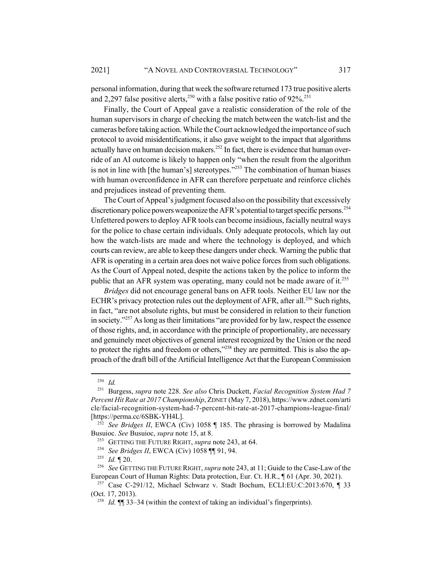personal information, during that week the software returned 173 true positive alerts and 2,297 false positive alerts,<sup>250</sup> with a false positive ratio of  $92\%$ <sup>251</sup>

Finally, the Court of Appeal gave a realistic consideration of the role of the human supervisors in charge of checking the match between the watch-list and the cameras before taking action. While the Court acknowledged the importance of such protocol to avoid misidentifications, it also gave weight to the impact that algorithms actually have on human decision makers.<sup>252</sup> In fact, there is evidence that human override of an AI outcome is likely to happen only "when the result from the algorithm is not in line with [the human's] stereotypes."<sup>253</sup> The combination of human biases with human overconfidence in AFR can therefore perpetuate and reinforce clichés and prejudices instead of preventing them.

The Court of Appeal's judgment focused also on the possibility that excessively discretionary police powers weaponize the AFR's potential to target specific persons.<sup>254</sup> Unfettered powers to deploy AFR tools can become insidious, facially neutral ways for the police to chase certain individuals. Only adequate protocols, which lay out how the watch-lists are made and where the technology is deployed, and which courts can review, are able to keep these dangers under check. Warning the public that AFR is operating in a certain area does not waive police forces from such obligations. As the Court of Appeal noted, despite the actions taken by the police to inform the public that an AFR system was operating, many could not be made aware of it.<sup>255</sup>

*Bridges* did not encourage general bans on AFR tools. Neither EU law nor the ECHR's privacy protection rules out the deployment of AFR, after all.<sup>256</sup> Such rights, in fact, "are not absolute rights, but must be considered in relation to their function in society."257 As long as their limitations "are provided for by law, respect the essence of those rights, and, in accordance with the principle of proportionality, are necessary and genuinely meet objectives of general interest recognized by the Union or the need to protect the rights and freedom or others,"<sup>258</sup> they are permitted. This is also the approach of the draft bill of the Artificial Intelligence Act that the European Commission

 $\frac{250}{251}$  *Id.* 

<sup>251</sup> Burgess, *supra* note 228. *See also* Chris Duckett, *Facial Recognition System Had 7 Percent Hit Rate at 2017 Championship*, ZDNET (May 7, 2018), https://www.zdnet.com/arti cle/facial-recognition-system-had-7-percent-hit-rate-at-2017-champions-league-final/ [https://perma.cc/6SBK-YH4L].

<sup>252</sup> *See Bridges II*, EWCA (Civ) 1058 ¶ 185. The phrasing is borrowed by Madalina Busuioc. *See* Busuioc, *supra* note 15, at 8.

<sup>253</sup> GETTING THE FUTURE RIGHT, *supra* note 243, at 64.

<sup>254</sup> *See Bridges II*, EWCA (Civ) 1058 ¶¶ 91, 94.

<sup>255</sup> *Id.* ¶ 20.

<sup>256</sup> *See* GETTING THE FUTURE RIGHT, *supra* note 243, at 11; Guide to the Case-Law of the European Court of Human Rights: Data protection, Eur. Ct. H.R., ¶ 61 (Apr. 30, 2021).

<sup>257</sup> Case C-291/12, Michael Schwarz v. Stadt Bochum, ECLI:EU:C:2013:670, ¶ 33 (Oct. 17, 2013).

<sup>&</sup>lt;sup>258</sup> *Id.*  $\P$   $\P$  33–34 (within the context of taking an individual's fingerprints).